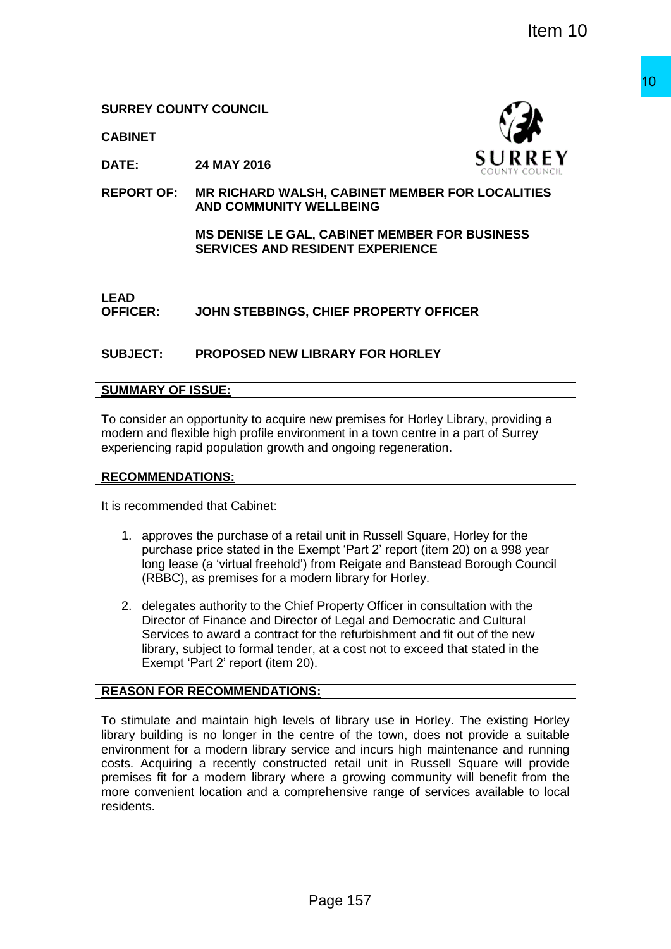**CABINET**



**DATE: 24 MAY 2016**

**REPORT OF: MR RICHARD WALSH, CABINET MEMBER FOR LOCALITIES AND COMMUNITY WELLBEING**

> **MS DENISE LE GAL, CABINET MEMBER FOR BUSINESS SERVICES AND RESIDENT EXPERIENCE**

# **LEAD**

**OFFICER: JOHN STEBBINGS, CHIEF PROPERTY OFFICER**

# **SUBJECT: PROPOSED NEW LIBRARY FOR HORLEY**

# **SUMMARY OF ISSUE:**

To consider an opportunity to acquire new premises for Horley Library, providing a modern and flexible high profile environment in a town centre in a part of Surrey experiencing rapid population growth and ongoing regeneration.

### **RECOMMENDATIONS:**

It is recommended that Cabinet:

- 1. approves the purchase of a retail unit in Russell Square, Horley for the purchase price stated in the Exempt 'Part 2' report (item 20) on a 998 year long lease (a 'virtual freehold') from Reigate and Banstead Borough Council (RBBC), as premises for a modern library for Horley.
- 2. delegates authority to the Chief Property Officer in consultation with the Director of Finance and Director of Legal and Democratic and Cultural Services to award a contract for the refurbishment and fit out of the new library, subject to formal tender, at a cost not to exceed that stated in the Exempt 'Part 2' report (item 20).

# **REASON FOR RECOMMENDATIONS:**

To stimulate and maintain high levels of library use in Horley. The existing Horley library building is no longer in the centre of the town, does not provide a suitable environment for a modern library service and incurs high maintenance and running costs. Acquiring a recently constructed retail unit in Russell Square will provide premises fit for a modern library where a growing community will benefit from the more convenient location and a comprehensive range of services available to local residents. The State of the Control of the State of the State of the State of the State of the State of the State of the State of the State of the State of the State of the State of the State of the State of the State of the State of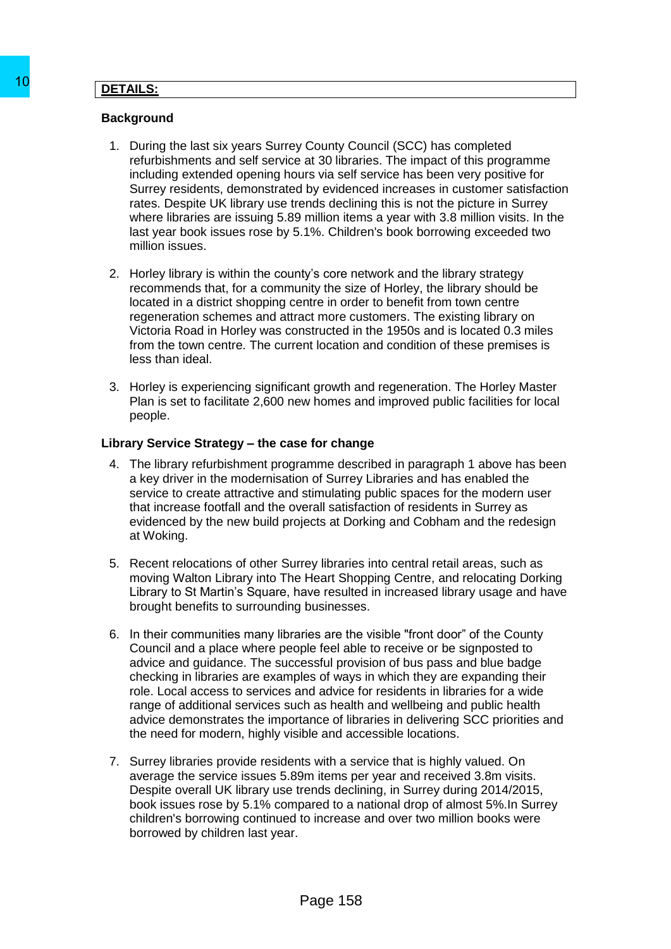### **DETAILS:**

### **Background**

- 1. During the last six years Surrey County Council (SCC) has completed refurbishments and self service at 30 libraries. The impact of this programme including extended opening hours via self service has been very positive for Surrey residents, demonstrated by evidenced increases in customer satisfaction rates. Despite UK library use trends declining this is not the picture in Surrey where libraries are issuing 5.89 million items a year with 3.8 million visits. In the last year book issues rose by 5.1%. Children's book borrowing exceeded two million issues.
- 2. Horley library is within the county's core network and the library strategy recommends that, for a community the size of Horley, the library should be located in a district shopping centre in order to benefit from town centre regeneration schemes and attract more customers. The existing library on Victoria Road in Horley was constructed in the 1950s and is located 0.3 miles from the town centre. The current location and condition of these premises is less than ideal.
- 3. Horley is experiencing significant growth and regeneration. The Horley Master Plan is set to facilitate 2,600 new homes and improved public facilities for local people.

### **Library Service Strategy – the case for change**

- 4. The library refurbishment programme described in paragraph 1 above has been a key driver in the modernisation of Surrey Libraries and has enabled the service to create attractive and stimulating public spaces for the modern user that increase footfall and the overall satisfaction of residents in Surrey as evidenced by the new build projects at Dorking and Cobham and the redesign at Woking.
- 5. Recent relocations of other Surrey libraries into central retail areas, such as moving Walton Library into The Heart Shopping Centre, and relocating Dorking Library to St Martin's Square, have resulted in increased library usage and have brought benefits to surrounding businesses.
- 6. In their communities many libraries are the visible "front door" of the County Council and a place where people feel able to receive or be signposted to advice and guidance. The successful provision of bus pass and blue badge checking in libraries are examples of ways in which they are expanding their role. Local access to services and advice for residents in libraries for a wide range of additional services such as health and wellbeing and public health advice demonstrates the importance of libraries in delivering SCC priorities and the need for modern, highly visible and accessible locations. 10<br>
DETAILS:<br>
Background<br>
1. During the last six years Surrey County Cont<br>
refunction enters and set same sure of a bibrar<br>
reduction extended opening hours was self.<br>
controlling extended opening hours was self.<br>
controll
	- 7. Surrey libraries provide residents with a service that is highly valued. On average the service issues 5.89m items per year and received 3.8m visits. Despite overall UK library use trends declining, in Surrey during 2014/2015, book issues rose by 5.1% compared to a national drop of almost 5%.In Surrey children's borrowing continued to increase and over two million books were borrowed by children last year.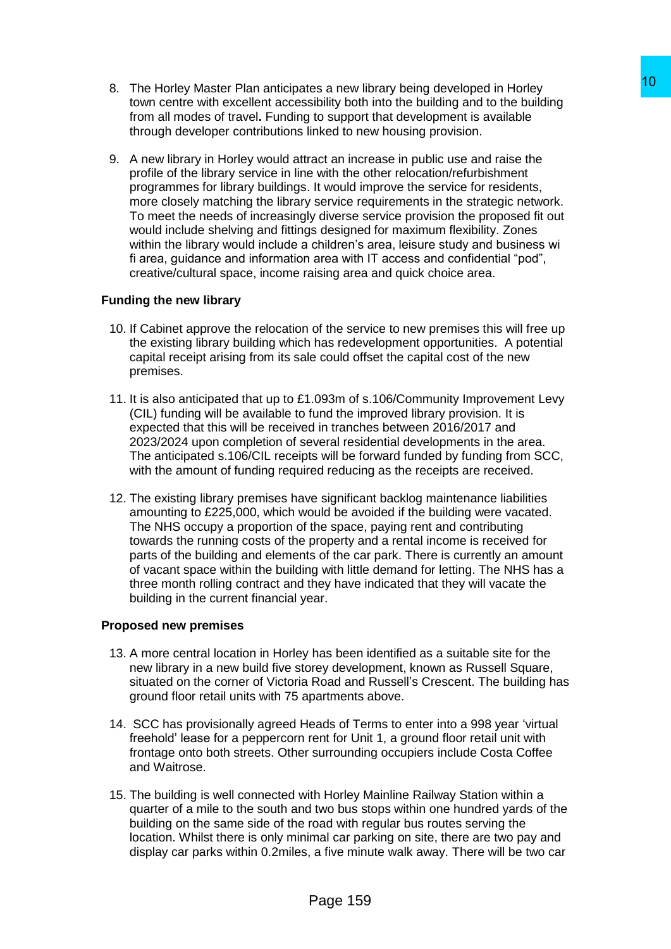- 8. The Horley Master Plan anticipates a new library being developed in Horley town centre with excellent accessibility both into the building and to the building from all modes of travel**.** Funding to support that development is available through developer contributions linked to new housing provision.
- 9. A new library in Horley would attract an increase in public use and raise the profile of the library service in line with the other relocation/refurbishment programmes for library buildings. It would improve the service for residents, more closely matching the library service requirements in the strategic network. To meet the needs of increasingly diverse service provision the proposed fit out would include shelving and fittings designed for maximum flexibility. Zones within the library would include a children's area, leisure study and business wi fi area, guidance and information area with IT access and confidential "pod", creative/cultural space, income raising area and quick choice area. es a new library being developed in Horley<br>
10<br>
to support that the building smill o the building<br>
to support that development is a valiable<br>
into support that development is available<br>
into support that development is ava

# **Funding the new library**

- 10. If Cabinet approve the relocation of the service to new premises this will free up the existing library building which has redevelopment opportunities. A potential capital receipt arising from its sale could offset the capital cost of the new premises.
- 11. It is also anticipated that up to £1.093m of s.106/Community Improvement Levy (CIL) funding will be available to fund the improved library provision. It is expected that this will be received in tranches between 2016/2017 and 2023/2024 upon completion of several residential developments in the area. The anticipated s.106/CIL receipts will be forward funded by funding from SCC, with the amount of funding required reducing as the receipts are received.
- 12. The existing library premises have significant backlog maintenance liabilities amounting to £225,000, which would be avoided if the building were vacated. The NHS occupy a proportion of the space, paying rent and contributing towards the running costs of the property and a rental income is received for parts of the building and elements of the car park. There is currently an amount of vacant space within the building with little demand for letting. The NHS has a three month rolling contract and they have indicated that they will vacate the building in the current financial year.

# **Proposed new premises**

- 13. A more central location in Horley has been identified as a suitable site for the new library in a new build five storey development, known as Russell Square, situated on the corner of Victoria Road and Russell's Crescent. The building has ground floor retail units with 75 apartments above.
- 14. SCC has provisionally agreed Heads of Terms to enter into a 998 year 'virtual freehold' lease for a peppercorn rent for Unit 1, a ground floor retail unit with frontage onto both streets. Other surrounding occupiers include Costa Coffee and Waitrose.
- 15. The building is well connected with Horley Mainline Railway Station within a quarter of a mile to the south and two bus stops within one hundred yards of the building on the same side of the road with regular bus routes serving the location. Whilst there is only minimal car parking on site, there are two pay and display car parks within 0.2miles, a five minute walk away. There will be two car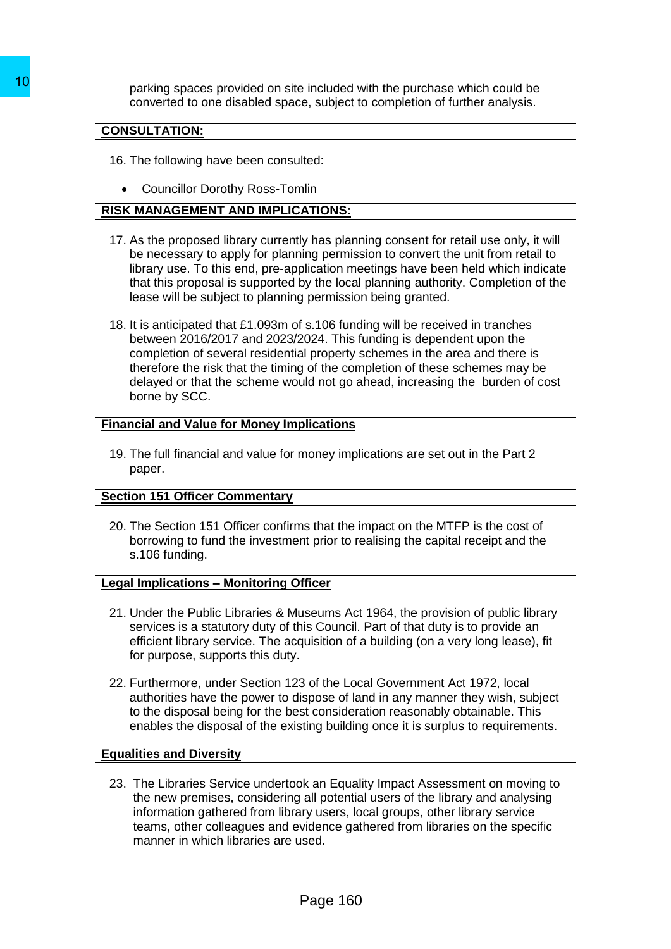parking spaces provided on site included with the purchase which could be converted to one disabled space, subject to completion of further analysis.

# **CONSULTATION:**

- 16. The following have been consulted:
	- Councillor Dorothy Ross-Tomlin

# **RISK MANAGEMENT AND IMPLICATIONS:**

- 17. As the proposed library currently has planning consent for retail use only, it will be necessary to apply for planning permission to convert the unit from retail to library use. To this end, pre-application meetings have been held which indicate that this proposal is supported by the local planning authority. Completion of the lease will be subject to planning permission being granted.
- 18. It is anticipated that £1.093m of s.106 funding will be received in tranches between 2016/2017 and 2023/2024. This funding is dependent upon the completion of several residential property schemes in the area and there is therefore the risk that the timing of the completion of these schemes may be delayed or that the scheme would not go ahead, increasing the burden of cost borne by SCC. To parking spaces provided on site included variable converted to one disabled space, subject to council TATION:<br>
To EXEC The following have been consulted:<br>
To CONSULTATION:<br>
TO CONCIDENT AND IMPLICATIONS:<br>
TO CONCIDENT A

### **Financial and Value for Money Implications**

19. The full financial and value for money implications are set out in the Part 2 paper.

# **Section 151 Officer Commentary**

20. The Section 151 Officer confirms that the impact on the MTFP is the cost of borrowing to fund the investment prior to realising the capital receipt and the s.106 funding.

#### **Legal Implications – Monitoring Officer**

- 21. Under the Public Libraries & Museums Act 1964, the provision of public library services is a statutory duty of this Council. Part of that duty is to provide an efficient library service. The acquisition of a building (on a very long lease), fit for purpose, supports this duty.
- 22. Furthermore, under Section 123 of the Local Government Act 1972, local authorities have the power to dispose of land in any manner they wish, subject to the disposal being for the best consideration reasonably obtainable. This enables the disposal of the existing building once it is surplus to requirements.

#### **Equalities and Diversity**

23. The Libraries Service undertook an Equality Impact Assessment on moving to the new premises, considering all potential users of the library and analysing information gathered from library users, local groups, other library service teams, other colleagues and evidence gathered from libraries on the specific manner in which libraries are used.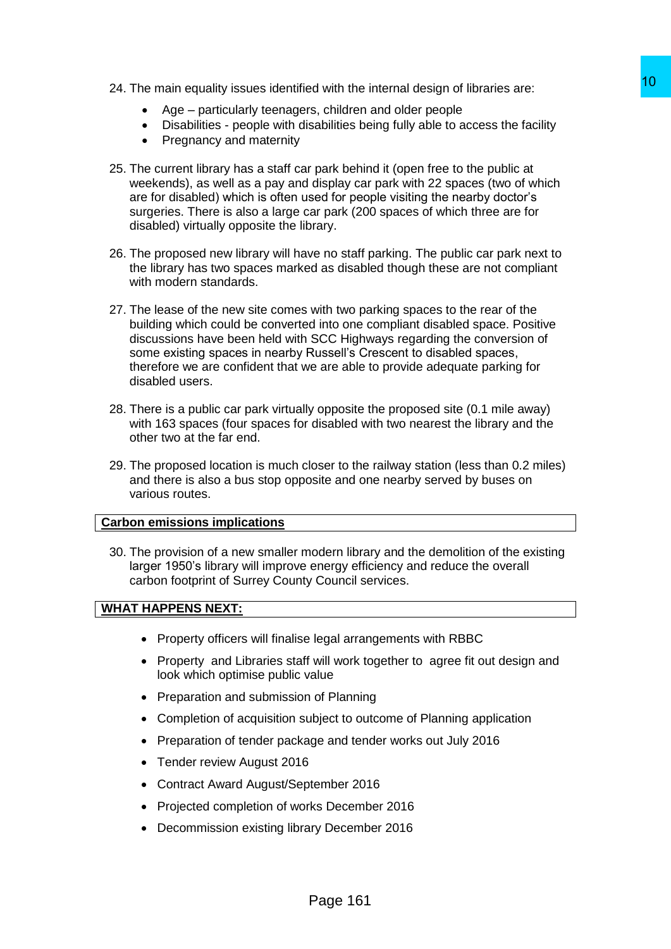- 24. The main equality issues identified with the internal design of libraries are:
	- Age particularly teenagers, children and older people
	- Disabilities people with disabilities being fully able to access the facility
	- Pregnancy and maternity
- 25. The current library has a staff car park behind it (open free to the public at weekends), as well as a pay and display car park with 22 spaces (two of which are for disabled) which is often used for people visiting the nearby doctor's surgeries. There is also a large car park (200 spaces of which three are for disabled) virtually opposite the library.
- 26. The proposed new library will have no staff parking. The public car park next to the library has two spaces marked as disabled though these are not compliant with modern standards.
- 27. The lease of the new site comes with two parking spaces to the rear of the building which could be converted into one compliant disabled space. Positive discussions have been held with SCC Highways regarding the conversion of some existing spaces in nearby Russell's Crescent to disabled spaces, therefore we are confident that we are able to provide adequate parking for disabled users. of with the internal design of libraries are:<br>
stabildters heard older people<br>
stabilities being fully able to access the facility<br>
park behind it (open free to the public at<br>
display car park with 22 spaces (two of which<br>
- 28. There is a public car park virtually opposite the proposed site (0.1 mile away) with 163 spaces (four spaces for disabled with two nearest the library and the other two at the far end.
- 29. The proposed location is much closer to the railway station (less than 0.2 miles) and there is also a bus stop opposite and one nearby served by buses on various routes.

#### **Carbon emissions implications**

30. The provision of a new smaller modern library and the demolition of the existing larger 1950's library will improve energy efficiency and reduce the overall carbon footprint of Surrey County Council services.

#### **WHAT HAPPENS NEXT:**

- Property officers will finalise legal arrangements with RBBC
- Property and Libraries staff will work together to agree fit out design and look which optimise public value
- Preparation and submission of Planning
- Completion of acquisition subject to outcome of Planning application
- Preparation of tender package and tender works out July 2016
- Tender review August 2016
- Contract Award August/September 2016
- Projected completion of works December 2016
- Decommission existing library December 2016